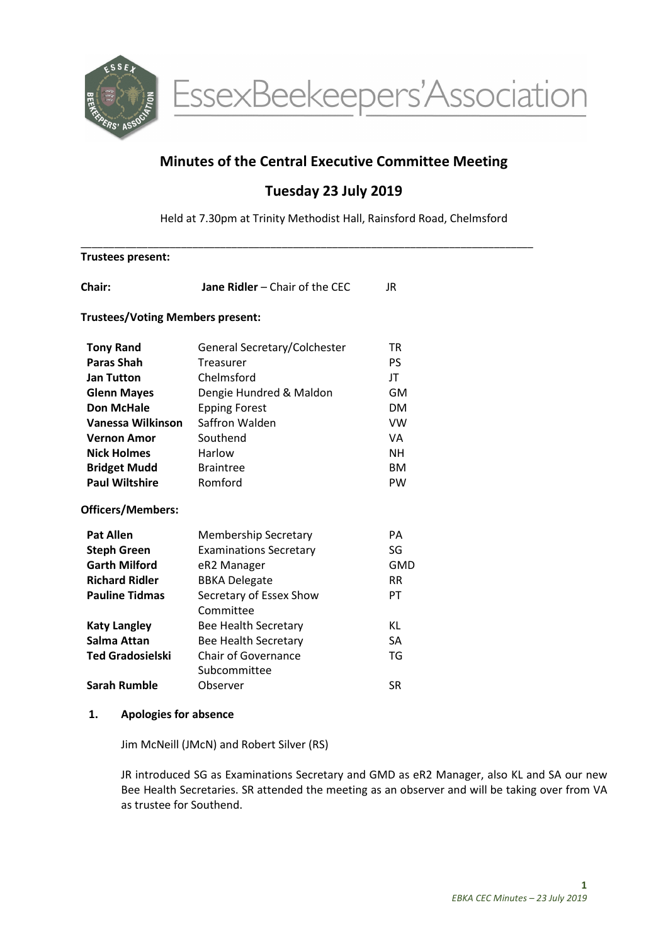

# Minutes of the Central Executive Committee Meeting

# Tuesday 23 July 2019

Held at 7.30pm at Trinity Methodist Hall, Rainsford Road, Chelmsford

\_\_\_\_\_\_\_\_\_\_\_\_\_\_\_\_\_\_\_\_\_\_\_\_\_\_\_\_\_\_\_\_\_\_\_\_\_\_\_\_\_\_\_\_\_\_\_\_\_\_\_\_\_\_\_\_\_\_\_\_\_\_\_\_\_\_\_\_\_\_\_\_\_\_\_\_\_\_\_\_\_

| <b>Trustees present:</b>                |                                       |            |  |  |
|-----------------------------------------|---------------------------------------|------------|--|--|
| Chair:                                  | <b>Jane Ridler - Chair of the CEC</b> | JR.        |  |  |
| <b>Trustees/Voting Members present:</b> |                                       |            |  |  |
| <b>Tony Rand</b>                        | General Secretary/Colchester          | TR         |  |  |
| <b>Paras Shah</b>                       | Treasurer                             | <b>PS</b>  |  |  |
| <b>Jan Tutton</b>                       | Chelmsford                            | JT         |  |  |
| <b>Glenn Mayes</b>                      | Dengie Hundred & Maldon               | GM         |  |  |
| <b>Don McHale</b>                       | <b>Epping Forest</b>                  | <b>DM</b>  |  |  |
| Vanessa Wilkinson                       | Saffron Walden                        | <b>VW</b>  |  |  |
| <b>Vernon Amor</b>                      | Southend                              | VA.        |  |  |
| <b>Nick Holmes</b>                      | Harlow                                | <b>NH</b>  |  |  |
| <b>Bridget Mudd</b>                     | <b>Braintree</b>                      | <b>BM</b>  |  |  |
| <b>Paul Wiltshire</b>                   | Romford                               | PW         |  |  |
| <b>Officers/Members:</b>                |                                       |            |  |  |
| <b>Pat Allen</b>                        | <b>Membership Secretary</b>           | <b>PA</b>  |  |  |
| <b>Steph Green</b>                      | <b>Examinations Secretary</b>         | SG         |  |  |
| <b>Garth Milford</b>                    | eR2 Manager                           | <b>GMD</b> |  |  |
| <b>Richard Ridler</b>                   | <b>BBKA Delegate</b>                  | <b>RR</b>  |  |  |
| <b>Pauline Tidmas</b>                   | Secretary of Essex Show<br>Committee  | PT         |  |  |
| <b>Katy Langley</b>                     | Bee Health Secretary                  | KL         |  |  |
| Salma Attan                             | <b>Bee Health Secretary</b>           | <b>SA</b>  |  |  |
| <b>Ted Gradosielski</b>                 | <b>Chair of Governance</b>            | TG         |  |  |
|                                         | Subcommittee                          |            |  |  |
| <b>Sarah Rumble</b>                     | Observer                              | <b>SR</b>  |  |  |

#### 1. Apologies for absence

Jim McNeill (JMcN) and Robert Silver (RS)

JR introduced SG as Examinations Secretary and GMD as eR2 Manager, also KL and SA our new Bee Health Secretaries. SR attended the meeting as an observer and will be taking over from VA as trustee for Southend.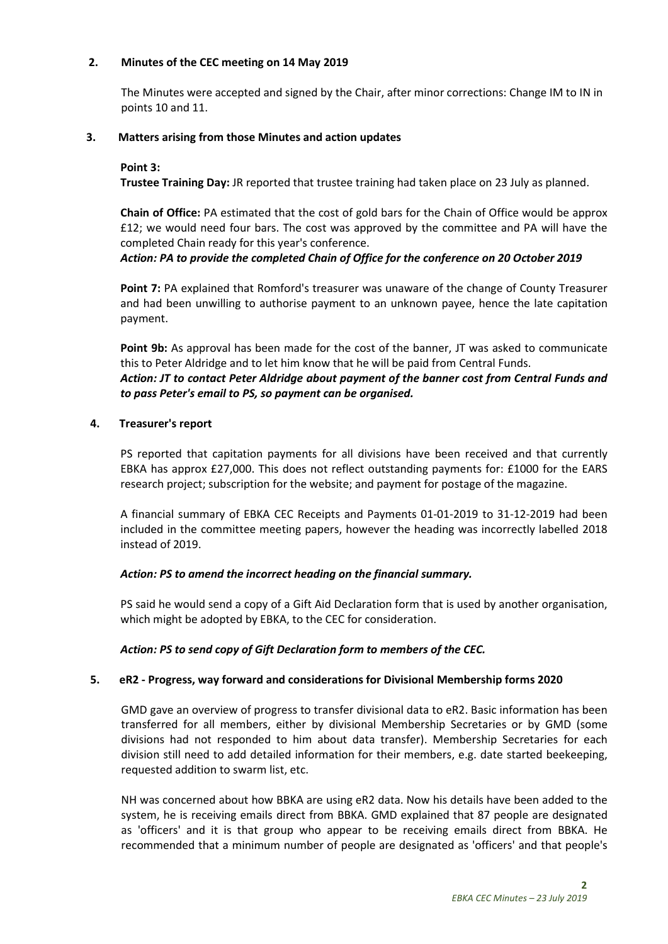#### 2. Minutes of the CEC meeting on 14 May 2019

The Minutes were accepted and signed by the Chair, after minor corrections: Change IM to IN in points 10 and 11.

## 3. Matters arising from those Minutes and action updates

## Point 3:

Trustee Training Day: JR reported that trustee training had taken place on 23 July as planned.

Chain of Office: PA estimated that the cost of gold bars for the Chain of Office would be approx £12; we would need four bars. The cost was approved by the committee and PA will have the completed Chain ready for this year's conference.

## Action: PA to provide the completed Chain of Office for the conference on 20 October 2019

Point 7: PA explained that Romford's treasurer was unaware of the change of County Treasurer and had been unwilling to authorise payment to an unknown payee, hence the late capitation payment.

Point 9b: As approval has been made for the cost of the banner, JT was asked to communicate this to Peter Aldridge and to let him know that he will be paid from Central Funds. Action: JT to contact Peter Aldridge about payment of the banner cost from Central Funds and to pass Peter's email to PS, so payment can be organised.

## 4. Treasurer's report

PS reported that capitation payments for all divisions have been received and that currently EBKA has approx £27,000. This does not reflect outstanding payments for: £1000 for the EARS research project; subscription for the website; and payment for postage of the magazine.

A financial summary of EBKA CEC Receipts and Payments 01-01-2019 to 31-12-2019 had been included in the committee meeting papers, however the heading was incorrectly labelled 2018 instead of 2019.

## Action: PS to amend the incorrect heading on the financial summary.

PS said he would send a copy of a Gift Aid Declaration form that is used by another organisation, which might be adopted by EBKA, to the CEC for consideration.

## Action: PS to send copy of Gift Declaration form to members of the CEC.

## 5. eR2 - Progress, way forward and considerations for Divisional Membership forms 2020

GMD gave an overview of progress to transfer divisional data to eR2. Basic information has been transferred for all members, either by divisional Membership Secretaries or by GMD (some divisions had not responded to him about data transfer). Membership Secretaries for each division still need to add detailed information for their members, e.g. date started beekeeping, requested addition to swarm list, etc.

NH was concerned about how BBKA are using eR2 data. Now his details have been added to the system, he is receiving emails direct from BBKA. GMD explained that 87 people are designated as 'officers' and it is that group who appear to be receiving emails direct from BBKA. He recommended that a minimum number of people are designated as 'officers' and that people's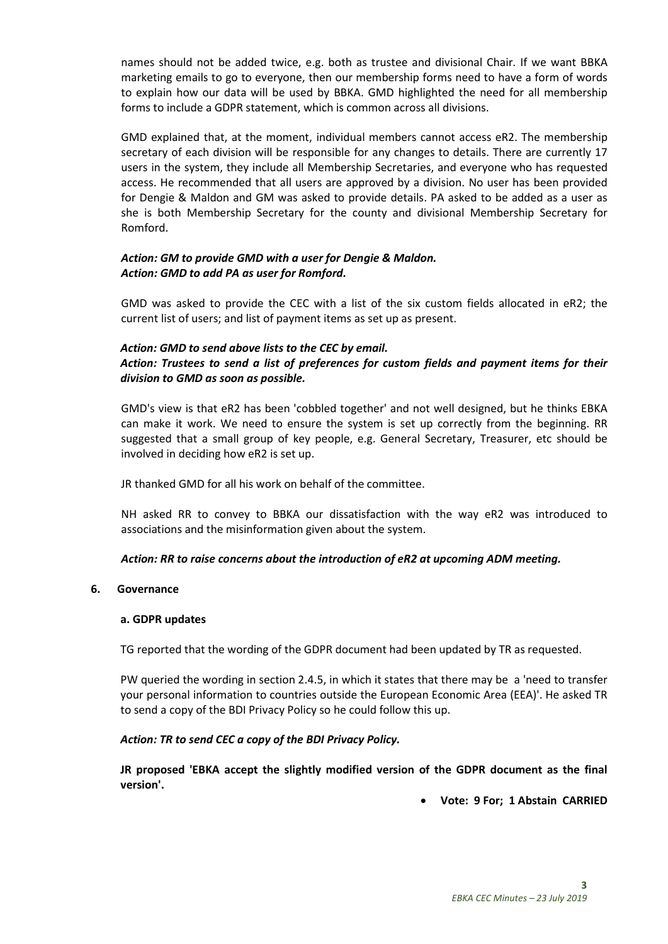names should not be added twice, e.g. both as trustee and divisional Chair. If we want BBKA marketing emails to go to everyone, then our membership forms need to have a form of words to explain how our data will be used by BBKA. GMD highlighted the need for all membership forms to include a GDPR statement, which is common across all divisions.

GMD explained that, at the moment, individual members cannot access eR2. The membership secretary of each division will be responsible for any changes to details. There are currently 17 users in the system, they include all Membership Secretaries, and everyone who has requested access. He recommended that all users are approved by a division. No user has been provided for Dengie & Maldon and GM was asked to provide details. PA asked to be added as a user as she is both Membership Secretary for the county and divisional Membership Secretary for Romford.

## Action: GM to provide GMD with a user for Dengie & Maldon. Action: GMD to add PA as user for Romford.

GMD was asked to provide the CEC with a list of the six custom fields allocated in eR2; the current list of users; and list of payment items as set up as present.

## Action: GMD to send above lists to the CEC by email.

## Action: Trustees to send a list of preferences for custom fields and payment items for their division to GMD as soon as possible.

GMD's view is that eR2 has been 'cobbled together' and not well designed, but he thinks EBKA can make it work. We need to ensure the system is set up correctly from the beginning. RR suggested that a small group of key people, e.g. General Secretary, Treasurer, etc should be involved in deciding how eR2 is set up.

JR thanked GMD for all his work on behalf of the committee.

NH asked RR to convey to BBKA our dissatisfaction with the way eR2 was introduced to associations and the misinformation given about the system.

## Action: RR to raise concerns about the introduction of eR2 at upcoming ADM meeting.

#### 6. Governance

#### a. GDPR updates

TG reported that the wording of the GDPR document had been updated by TR as requested.

PW queried the wording in section 2.4.5, in which it states that there may be a 'need to transfer your personal information to countries outside the European Economic Area (EEA)'. He asked TR to send a copy of the BDI Privacy Policy so he could follow this up.

## Action: TR to send CEC a copy of the BDI Privacy Policy.

JR proposed 'EBKA accept the slightly modified version of the GDPR document as the final version'.

Vote: 9 For; 1 Abstain CARRIED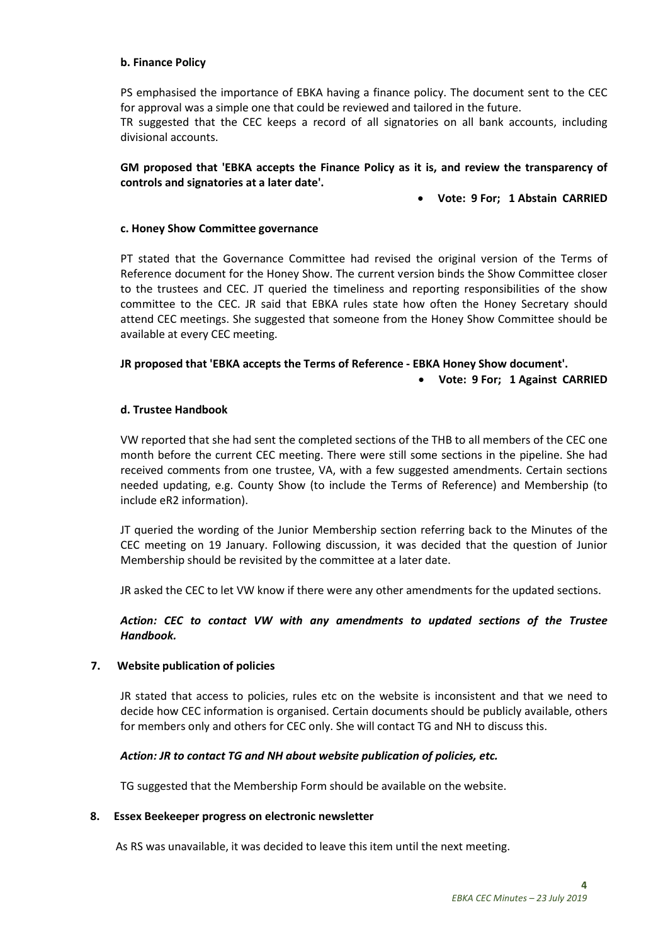#### b. Finance Policy

PS emphasised the importance of EBKA having a finance policy. The document sent to the CEC for approval was a simple one that could be reviewed and tailored in the future.

TR suggested that the CEC keeps a record of all signatories on all bank accounts, including divisional accounts.

## GM proposed that 'EBKA accepts the Finance Policy as it is, and review the transparency of controls and signatories at a later date'.

Vote: 9 For; 1 Abstain CARRIED

## c. Honey Show Committee governance

PT stated that the Governance Committee had revised the original version of the Terms of Reference document for the Honey Show. The current version binds the Show Committee closer to the trustees and CEC. JT queried the timeliness and reporting responsibilities of the show committee to the CEC. JR said that EBKA rules state how often the Honey Secretary should attend CEC meetings. She suggested that someone from the Honey Show Committee should be available at every CEC meeting.

## JR proposed that 'EBKA accepts the Terms of Reference - EBKA Honey Show document'.

Vote: 9 For; 1 Against CARRIED

#### d. Trustee Handbook

VW reported that she had sent the completed sections of the THB to all members of the CEC one month before the current CEC meeting. There were still some sections in the pipeline. She had received comments from one trustee, VA, with a few suggested amendments. Certain sections needed updating, e.g. County Show (to include the Terms of Reference) and Membership (to include eR2 information).

JT queried the wording of the Junior Membership section referring back to the Minutes of the CEC meeting on 19 January. Following discussion, it was decided that the question of Junior Membership should be revisited by the committee at a later date.

JR asked the CEC to let VW know if there were any other amendments for the updated sections.

## Action: CEC to contact VW with any amendments to updated sections of the Trustee Handbook.

#### 7. Website publication of policies

JR stated that access to policies, rules etc on the website is inconsistent and that we need to decide how CEC information is organised. Certain documents should be publicly available, others for members only and others for CEC only. She will contact TG and NH to discuss this.

#### Action: JR to contact TG and NH about website publication of policies, etc.

TG suggested that the Membership Form should be available on the website.

#### 8. Essex Beekeeper progress on electronic newsletter

As RS was unavailable, it was decided to leave this item until the next meeting.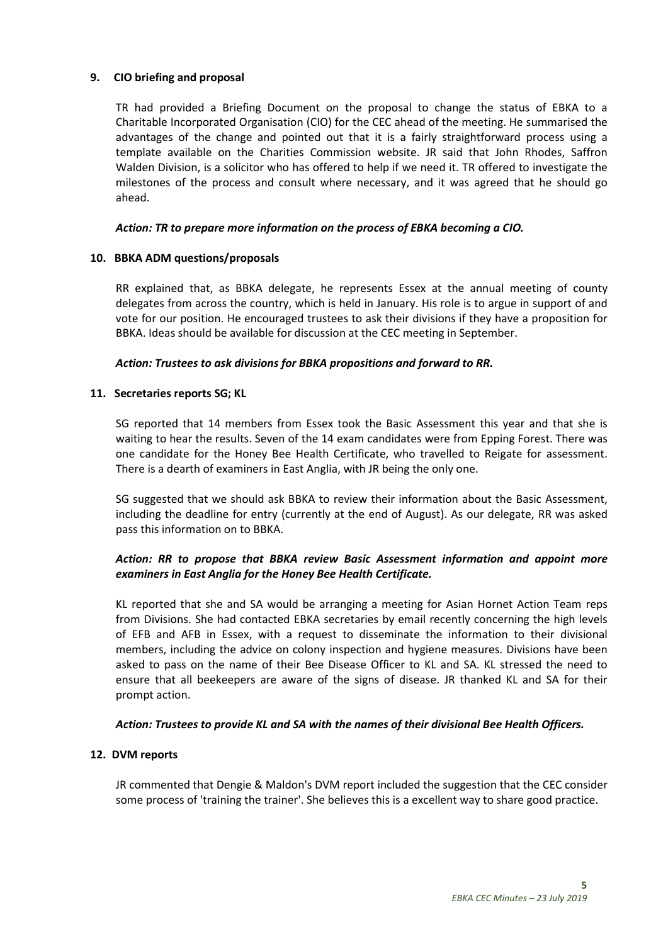## 9. CIO briefing and proposal

TR had provided a Briefing Document on the proposal to change the status of EBKA to a Charitable Incorporated Organisation (CIO) for the CEC ahead of the meeting. He summarised the advantages of the change and pointed out that it is a fairly straightforward process using a template available on the Charities Commission website. JR said that John Rhodes, Saffron Walden Division, is a solicitor who has offered to help if we need it. TR offered to investigate the milestones of the process and consult where necessary, and it was agreed that he should go ahead.

#### Action: TR to prepare more information on the process of EBKA becoming a CIO.

#### 10. BBKA ADM questions/proposals

RR explained that, as BBKA delegate, he represents Essex at the annual meeting of county delegates from across the country, which is held in January. His role is to argue in support of and vote for our position. He encouraged trustees to ask their divisions if they have a proposition for BBKA. Ideas should be available for discussion at the CEC meeting in September.

## Action: Trustees to ask divisions for BBKA propositions and forward to RR.

#### 11. Secretaries reports SG; KL

SG reported that 14 members from Essex took the Basic Assessment this year and that she is waiting to hear the results. Seven of the 14 exam candidates were from Epping Forest. There was one candidate for the Honey Bee Health Certificate, who travelled to Reigate for assessment. There is a dearth of examiners in East Anglia, with JR being the only one.

SG suggested that we should ask BBKA to review their information about the Basic Assessment, including the deadline for entry (currently at the end of August). As our delegate, RR was asked pass this information on to BBKA.

## Action: RR to propose that BBKA review Basic Assessment information and appoint more examiners in East Anglia for the Honey Bee Health Certificate.

KL reported that she and SA would be arranging a meeting for Asian Hornet Action Team reps from Divisions. She had contacted EBKA secretaries by email recently concerning the high levels of EFB and AFB in Essex, with a request to disseminate the information to their divisional members, including the advice on colony inspection and hygiene measures. Divisions have been asked to pass on the name of their Bee Disease Officer to KL and SA. KL stressed the need to ensure that all beekeepers are aware of the signs of disease. JR thanked KL and SA for their prompt action.

#### Action: Trustees to provide KL and SA with the names of their divisional Bee Health Officers.

#### 12. DVM reports

JR commented that Dengie & Maldon's DVM report included the suggestion that the CEC consider some process of 'training the trainer'. She believes this is a excellent way to share good practice.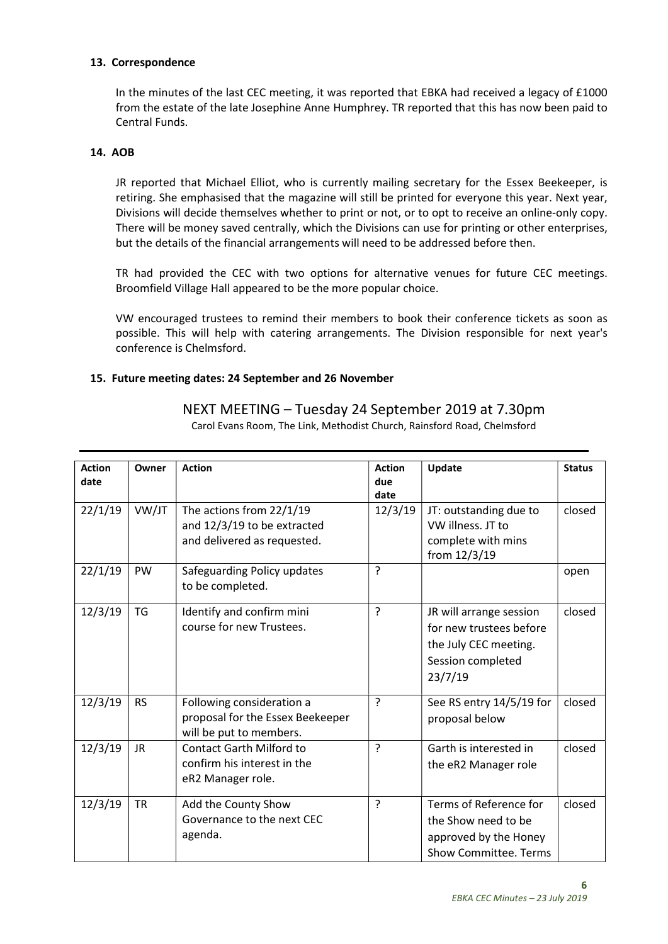#### 13. Correspondence

In the minutes of the last CEC meeting, it was reported that EBKA had received a legacy of £1000 from the estate of the late Josephine Anne Humphrey. TR reported that this has now been paid to Central Funds.

#### 14. AOB

JR reported that Michael Elliot, who is currently mailing secretary for the Essex Beekeeper, is retiring. She emphasised that the magazine will still be printed for everyone this year. Next year, Divisions will decide themselves whether to print or not, or to opt to receive an online-only copy. There will be money saved centrally, which the Divisions can use for printing or other enterprises, but the details of the financial arrangements will need to be addressed before then.

TR had provided the CEC with two options for alternative venues for future CEC meetings. Broomfield Village Hall appeared to be the more popular choice.

VW encouraged trustees to remind their members to book their conference tickets as soon as possible. This will help with catering arrangements. The Division responsible for next year's conference is Chelmsford.

## 15. Future meeting dates: 24 September and 26 November

| <b>Action</b><br>date | Owner     | <b>Action</b>                                                                            | <b>Action</b><br>due | Update                                                                                                      | <b>Status</b> |
|-----------------------|-----------|------------------------------------------------------------------------------------------|----------------------|-------------------------------------------------------------------------------------------------------------|---------------|
|                       |           |                                                                                          | date                 |                                                                                                             |               |
| 22/1/19               | VW/JT     | The actions from 22/1/19<br>and 12/3/19 to be extracted<br>and delivered as requested.   | 12/3/19              | JT: outstanding due to<br>VW illness. JT to<br>complete with mins<br>from 12/3/19                           | closed        |
| 22/1/19               | <b>PW</b> | Safeguarding Policy updates<br>to be completed.                                          | $\overline{?}$       |                                                                                                             | open          |
| 12/3/19               | <b>TG</b> | Identify and confirm mini<br>course for new Trustees.                                    | $\overline{?}$       | JR will arrange session<br>for new trustees before<br>the July CEC meeting.<br>Session completed<br>23/7/19 | closed        |
| 12/3/19               | <b>RS</b> | Following consideration a<br>proposal for the Essex Beekeeper<br>will be put to members. | ?                    | See RS entry 14/5/19 for<br>proposal below                                                                  | closed        |
| 12/3/19               | <b>JR</b> | <b>Contact Garth Milford to</b><br>confirm his interest in the<br>eR2 Manager role.      | $\overline{?}$       | Garth is interested in<br>the eR2 Manager role                                                              | closed        |
| 12/3/19               | <b>TR</b> | Add the County Show<br>Governance to the next CEC<br>agenda.                             | $\overline{?}$       | Terms of Reference for<br>the Show need to be<br>approved by the Honey<br><b>Show Committee. Terms</b>      | closed        |

## NEXT MEETING – Tuesday 24 September 2019 at 7.30pm

Carol Evans Room, The Link, Methodist Church, Rainsford Road, Chelmsford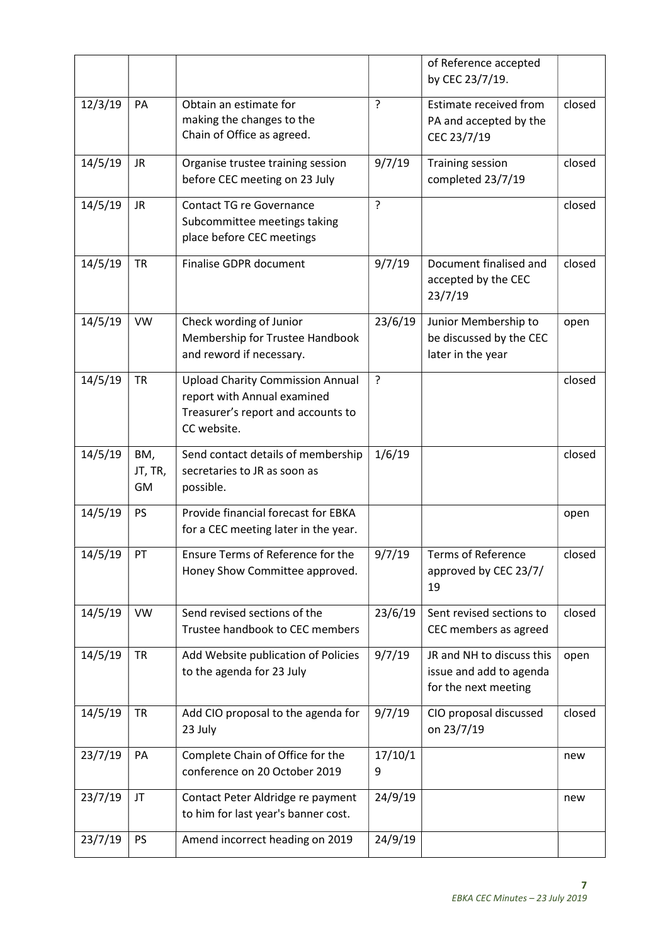|         |                      |                                                                                                                             |                | of Reference accepted<br>by CEC 23/7/19.                                     |        |
|---------|----------------------|-----------------------------------------------------------------------------------------------------------------------------|----------------|------------------------------------------------------------------------------|--------|
| 12/3/19 | PA                   | Obtain an estimate for<br>making the changes to the<br>Chain of Office as agreed.                                           | $\overline{?}$ | Estimate received from<br>PA and accepted by the<br>CEC 23/7/19              | closed |
| 14/5/19 | <b>JR</b>            | Organise trustee training session<br>before CEC meeting on 23 July                                                          | 9/7/19         | <b>Training session</b><br>completed 23/7/19                                 | closed |
| 14/5/19 | <b>JR</b>            | <b>Contact TG re Governance</b><br>Subcommittee meetings taking<br>place before CEC meetings                                | $\overline{?}$ |                                                                              | closed |
| 14/5/19 | <b>TR</b>            | <b>Finalise GDPR document</b>                                                                                               | 9/7/19         | Document finalised and<br>accepted by the CEC<br>23/7/19                     | closed |
| 14/5/19 | <b>VW</b>            | Check wording of Junior<br>Membership for Trustee Handbook<br>and reword if necessary.                                      | 23/6/19        | Junior Membership to<br>be discussed by the CEC<br>later in the year         | open   |
| 14/5/19 | <b>TR</b>            | <b>Upload Charity Commission Annual</b><br>report with Annual examined<br>Treasurer's report and accounts to<br>CC website. | ?              |                                                                              | closed |
| 14/5/19 | BM,<br>JT, TR,<br>GM | Send contact details of membership<br>secretaries to JR as soon as<br>possible.                                             | 1/6/19         |                                                                              | closed |
| 14/5/19 | <b>PS</b>            | Provide financial forecast for EBKA<br>for a CEC meeting later in the year.                                                 |                |                                                                              | open   |
| 14/5/19 | PT                   | Ensure Terms of Reference for the<br>Honey Show Committee approved.                                                         | 9/7/19         | <b>Terms of Reference</b><br>approved by CEC 23/7/<br>19                     | closed |
| 14/5/19 | <b>VW</b>            | Send revised sections of the<br>Trustee handbook to CEC members                                                             | 23/6/19        | Sent revised sections to<br>CEC members as agreed                            | closed |
| 14/5/19 | <b>TR</b>            | Add Website publication of Policies<br>to the agenda for 23 July                                                            | 9/7/19         | JR and NH to discuss this<br>issue and add to agenda<br>for the next meeting | open   |
| 14/5/19 | <b>TR</b>            | Add CIO proposal to the agenda for<br>23 July                                                                               | 9/7/19         | CIO proposal discussed<br>on 23/7/19                                         | closed |
| 23/7/19 | PA                   | Complete Chain of Office for the<br>conference on 20 October 2019                                                           | 17/10/1<br>9   |                                                                              | new    |
| 23/7/19 | JT                   | Contact Peter Aldridge re payment<br>to him for last year's banner cost.                                                    | 24/9/19        |                                                                              | new    |
| 23/7/19 | <b>PS</b>            | Amend incorrect heading on 2019                                                                                             | 24/9/19        |                                                                              |        |